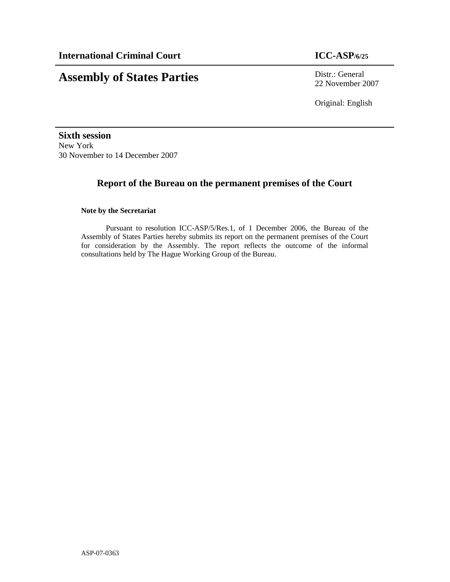# **Assembly of States Parties** Distr.: General

22 November 2007

Original: English

**Sixth session**  New York 30 November to 14 December 2007

# **Report of the Bureau on the permanent premises of the Court**

### **Note by the Secretariat**

Pursuant to resolution ICC-ASP/5/Res.1, of 1 December 2006, the Bureau of the Assembly of States Parties hereby submits its report on the permanent premises of the Court for consideration by the Assembly. The report reflects the outcome of the informal consultations held by The Hague Working Group of the Bureau.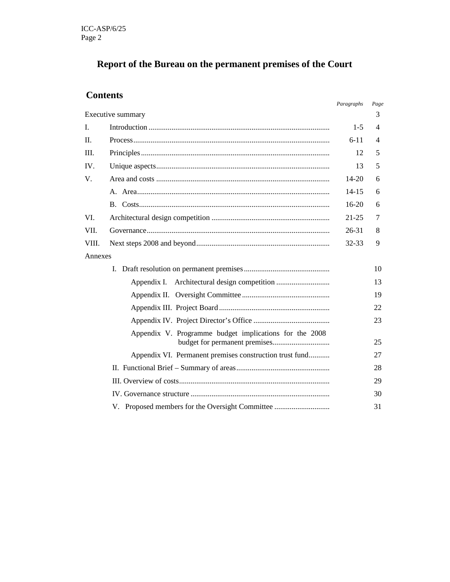# Report of the Bureau on the permanent premises of the Court

# **Contents**

|            | Contento                                                | Paragraphs | Page |
|------------|---------------------------------------------------------|------------|------|
|            | Executive summary                                       |            | 3    |
| I.         |                                                         | $1-5$      | 4    |
| <b>II.</b> |                                                         | $6 - 11$   | 4    |
| III.       |                                                         | 12         | 5    |
| IV.        |                                                         | 13         | 5    |
| V.         |                                                         | 14-20      | 6    |
|            |                                                         | $14 - 15$  | 6    |
|            |                                                         | $16-20$    | 6    |
| VI.        |                                                         | $21 - 25$  | 7    |
| VII.       |                                                         | 26-31      | 8    |
| VIII.      |                                                         | 32-33      | 9    |
| Annexes    |                                                         |            |      |
|            |                                                         |            | 10   |
|            |                                                         |            | 13   |
|            |                                                         |            | 19   |
|            |                                                         |            | 22   |
|            |                                                         |            | 23   |
|            | Appendix V. Programme budget implications for the 2008  |            | 25   |
|            | Appendix VI. Permanent premises construction trust fund |            | 27   |
|            |                                                         |            | 28   |
|            |                                                         |            | 29   |
|            |                                                         |            | 30   |
|            | V. Proposed members for the Oversight Committee         |            | 31   |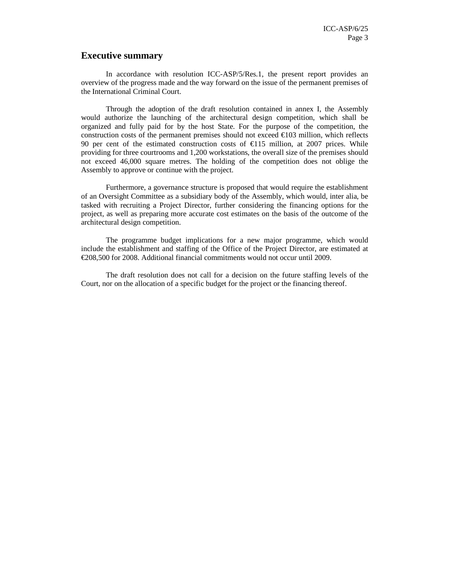### **Executive summary**

 In accordance with resolution ICC-ASP/5/Res.1, the present report provides an overview of the progress made and the way forward on the issue of the permanent premises of the International Criminal Court.

 Through the adoption of the draft resolution contained in annex I, the Assembly would authorize the launching of the architectural design competition, which shall be organized and fully paid for by the host State. For the purpose of the competition, the construction costs of the permanent premises should not exceed  $\epsilon$ 103 million, which reflects 90 per cent of the estimated construction costs of  $\epsilon$ 115 million, at 2007 prices. While providing for three courtrooms and 1,200 workstations, the overall size of the premises should not exceed 46,000 square metres. The holding of the competition does not oblige the Assembly to approve or continue with the project.

 Furthermore, a governance structure is proposed that would require the establishment of an Oversight Committee as a subsidiary body of the Assembly, which would, inter alia, be tasked with recruiting a Project Director, further considering the financing options for the project, as well as preparing more accurate cost estimates on the basis of the outcome of the architectural design competition.

 The programme budget implications for a new major programme, which would include the establishment and staffing of the Office of the Project Director, are estimated at €208,500 for 2008. Additional financial commitments would not occur until 2009.

 The draft resolution does not call for a decision on the future staffing levels of the Court, nor on the allocation of a specific budget for the project or the financing thereof.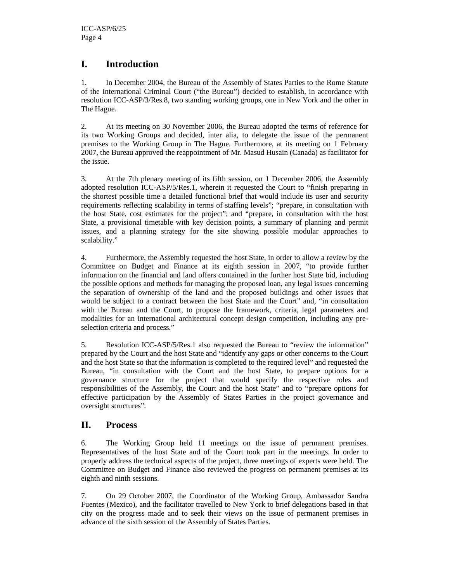# **I. Introduction**

1. In December 2004, the Bureau of the Assembly of States Parties to the Rome Statute of the International Criminal Court ("the Bureau") decided to establish, in accordance with resolution ICC-ASP/3/Res.8, two standing working groups, one in New York and the other in The Hague.

2. At its meeting on 30 November 2006, the Bureau adopted the terms of reference for its two Working Groups and decided, inter alia, to delegate the issue of the permanent premises to the Working Group in The Hague. Furthermore, at its meeting on 1 February 2007, the Bureau approved the reappointment of Mr. Masud Husain (Canada) as facilitator for the issue.

3. At the 7th plenary meeting of its fifth session, on 1 December 2006, the Assembly adopted resolution ICC-ASP/5/Res.1, wherein it requested the Court to "finish preparing in the shortest possible time a detailed functional brief that would include its user and security requirements reflecting scalability in terms of staffing levels"; "prepare, in consultation with the host State, cost estimates for the project"; and "prepare, in consultation with the host State, a provisional timetable with key decision points, a summary of planning and permit issues, and a planning strategy for the site showing possible modular approaches to scalability."

4. Furthermore, the Assembly requested the host State, in order to allow a review by the Committee on Budget and Finance at its eighth session in 2007, "to provide further information on the financial and land offers contained in the further host State bid, including the possible options and methods for managing the proposed loan, any legal issues concerning the separation of ownership of the land and the proposed buildings and other issues that would be subject to a contract between the host State and the Court" and, "in consultation with the Bureau and the Court, to propose the framework, criteria, legal parameters and modalities for an international architectural concept design competition, including any preselection criteria and process."

5. Resolution ICC-ASP/5/Res.1 also requested the Bureau to "review the information" prepared by the Court and the host State and "identify any gaps or other concerns to the Court and the host State so that the information is completed to the required level" and requested the Bureau, "in consultation with the Court and the host State, to prepare options for a governance structure for the project that would specify the respective roles and responsibilities of the Assembly, the Court and the host State" and to "prepare options for effective participation by the Assembly of States Parties in the project governance and oversight structures".

# **II. Process**

6. The Working Group held 11 meetings on the issue of permanent premises. Representatives of the host State and of the Court took part in the meetings. In order to properly address the technical aspects of the project, three meetings of experts were held. The Committee on Budget and Finance also reviewed the progress on permanent premises at its eighth and ninth sessions.

7. On 29 October 2007, the Coordinator of the Working Group, Ambassador Sandra Fuentes (Mexico), and the facilitator travelled to New York to brief delegations based in that city on the progress made and to seek their views on the issue of permanent premises in advance of the sixth session of the Assembly of States Parties.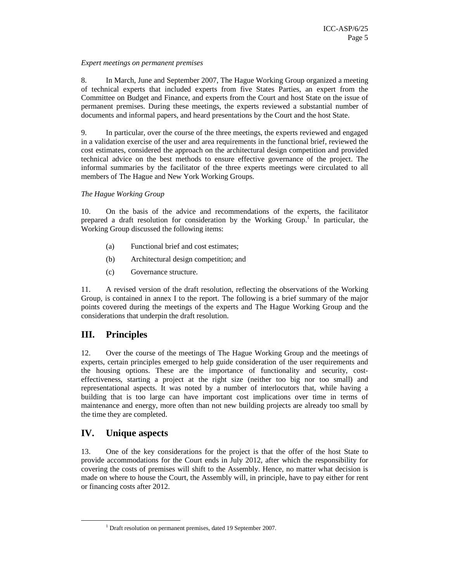#### *Expert meetings on permanent premises*

8. In March, June and September 2007, The Hague Working Group organized a meeting of technical experts that included experts from five States Parties, an expert from the Committee on Budget and Finance, and experts from the Court and host State on the issue of permanent premises. During these meetings, the experts reviewed a substantial number of documents and informal papers, and heard presentations by the Court and the host State.

9. In particular, over the course of the three meetings, the experts reviewed and engaged in a validation exercise of the user and area requirements in the functional brief, reviewed the cost estimates, considered the approach on the architectural design competition and provided technical advice on the best methods to ensure effective governance of the project. The informal summaries by the facilitator of the three experts meetings were circulated to all members of The Hague and New York Working Groups.

### *The Hague Working Group*

10. On the basis of the advice and recommendations of the experts, the facilitator prepared a draft resolution for consideration by the Working Group.<sup>1</sup> In particular, the Working Group discussed the following items:

- (a) Functional brief and cost estimates;
- (b) Architectural design competition; and
- (c) Governance structure.

11. A revised version of the draft resolution, reflecting the observations of the Working Group, is contained in annex I to the report. The following is a brief summary of the major points covered during the meetings of the experts and The Hague Working Group and the considerations that underpin the draft resolution.

# **III. Principles**

12. Over the course of the meetings of The Hague Working Group and the meetings of experts, certain principles emerged to help guide consideration of the user requirements and the housing options. These are the importance of functionality and security, costeffectiveness, starting a project at the right size (neither too big nor too small) and representational aspects. It was noted by a number of interlocutors that, while having a building that is too large can have important cost implications over time in terms of maintenance and energy, more often than not new building projects are already too small by the time they are completed.

# **IV. Unique aspects**

 $\overline{a}$ 

13. One of the key considerations for the project is that the offer of the host State to provide accommodations for the Court ends in July 2012, after which the responsibility for covering the costs of premises will shift to the Assembly. Hence, no matter what decision is made on where to house the Court, the Assembly will, in principle, have to pay either for rent or financing costs after 2012.

<sup>&</sup>lt;sup>1</sup> Draft resolution on permanent premises, dated 19 September 2007.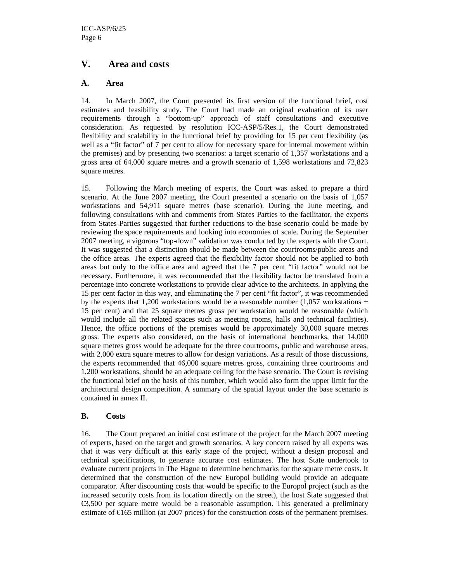# **V. Area and costs**

### **A. Area**

14. In March 2007, the Court presented its first version of the functional brief, cost estimates and feasibility study. The Court had made an original evaluation of its user requirements through a "bottom-up" approach of staff consultations and executive consideration. As requested by resolution ICC-ASP/5/Res.1, the Court demonstrated flexibility and scalability in the functional brief by providing for 15 per cent flexibility (as well as a "fit factor" of 7 per cent to allow for necessary space for internal movement within the premises) and by presenting two scenarios: a target scenario of 1,357 workstations and a gross area of 64,000 square metres and a growth scenario of 1,598 workstations and 72,823 square metres.

15. Following the March meeting of experts, the Court was asked to prepare a third scenario. At the June 2007 meeting, the Court presented a scenario on the basis of 1,057 workstations and 54,911 square metres (base scenario). During the June meeting, and following consultations with and comments from States Parties to the facilitator, the experts from States Parties suggested that further reductions to the base scenario could be made by reviewing the space requirements and looking into economies of scale. During the September 2007 meeting, a vigorous "top-down" validation was conducted by the experts with the Court. It was suggested that a distinction should be made between the courtrooms/public areas and the office areas. The experts agreed that the flexibility factor should not be applied to both areas but only to the office area and agreed that the 7 per cent "fit factor" would not be necessary. Furthermore, it was recommended that the flexibility factor be translated from a percentage into concrete workstations to provide clear advice to the architects. In applying the 15 per cent factor in this way, and eliminating the 7 per cent "fit factor", it was recommended by the experts that 1,200 workstations would be a reasonable number  $(1,057)$  workstations + 15 per cent) and that 25 square metres gross per workstation would be reasonable (which would include all the related spaces such as meeting rooms, halls and technical facilities). Hence, the office portions of the premises would be approximately 30,000 square metres gross. The experts also considered, on the basis of international benchmarks, that 14,000 square metres gross would be adequate for the three courtrooms, public and warehouse areas, with 2,000 extra square metres to allow for design variations. As a result of those discussions, the experts recommended that 46,000 square metres gross, containing three courtrooms and 1,200 workstations, should be an adequate ceiling for the base scenario. The Court is revising the functional brief on the basis of this number, which would also form the upper limit for the architectural design competition. A summary of the spatial layout under the base scenario is contained in annex II.

### **B. Costs**

16. The Court prepared an initial cost estimate of the project for the March 2007 meeting of experts, based on the target and growth scenarios. A key concern raised by all experts was that it was very difficult at this early stage of the project, without a design proposal and technical specifications, to generate accurate cost estimates. The host State undertook to evaluate current projects in The Hague to determine benchmarks for the square metre costs. It determined that the construction of the new Europol building would provide an adequate comparator. After discounting costs that would be specific to the Europol project (such as the increased security costs from its location directly on the street), the host State suggested that  $\epsilon$ 3,500 per square metre would be a reasonable assumption. This generated a preliminary estimate of  $\epsilon$ 165 million (at 2007 prices) for the construction costs of the permanent premises.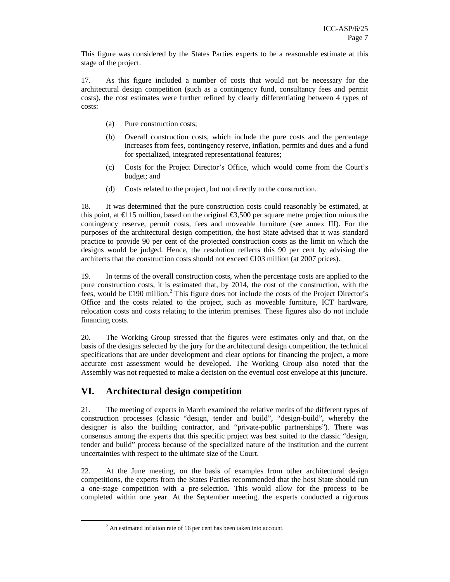This figure was considered by the States Parties experts to be a reasonable estimate at this stage of the project.

17. As this figure included a number of costs that would not be necessary for the architectural design competition (such as a contingency fund, consultancy fees and permit costs), the cost estimates were further refined by clearly differentiating between 4 types of costs:

- (a) Pure construction costs;
- (b) Overall construction costs, which include the pure costs and the percentage increases from fees, contingency reserve, inflation, permits and dues and a fund for specialized, integrated representational features;
- (c) Costs for the Project Director's Office, which would come from the Court's budget; and
- (d) Costs related to the project, but not directly to the construction.

18. It was determined that the pure construction costs could reasonably be estimated, at this point, at  $\epsilon$ 115 million, based on the original  $\epsilon$ 3,500 per square metre projection minus the contingency reserve, permit costs, fees and moveable furniture (see annex III). For the purposes of the architectural design competition, the host State advised that it was standard practice to provide 90 per cent of the projected construction costs as the limit on which the designs would be judged. Hence, the resolution reflects this 90 per cent by advising the architects that the construction costs should not exceed  $\epsilon$ 103 million (at 2007 prices).

19. In terms of the overall construction costs, when the percentage costs are applied to the pure construction costs, it is estimated that, by 2014, the cost of the construction, with the fees, would be  $\epsilon$ 190 million<sup>2</sup>. This figure does not include the costs of the Project Director's Office and the costs related to the project, such as moveable furniture, ICT hardware, relocation costs and costs relating to the interim premises. These figures also do not include financing costs.

20. The Working Group stressed that the figures were estimates only and that, on the basis of the designs selected by the jury for the architectural design competition, the technical specifications that are under development and clear options for financing the project, a more accurate cost assessment would be developed. The Working Group also noted that the Assembly was not requested to make a decision on the eventual cost envelope at this juncture.

# **VI. Architectural design competition**

 $\overline{a}$ 

21. The meeting of experts in March examined the relative merits of the different types of construction processes (classic "design, tender and build", "design-build", whereby the designer is also the building contractor, and "private-public partnerships"). There was consensus among the experts that this specific project was best suited to the classic "design, tender and build" process because of the specialized nature of the institution and the current uncertainties with respect to the ultimate size of the Court.

22. At the June meeting, on the basis of examples from other architectural design competitions, the experts from the States Parties recommended that the host State should run a one-stage competition with a pre-selection. This would allow for the process to be completed within one year. At the September meeting, the experts conducted a rigorous

 $2^2$  An estimated inflation rate of 16 per cent has been taken into account.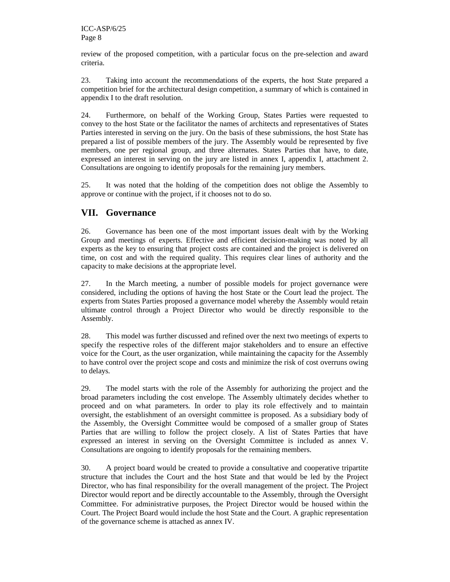review of the proposed competition, with a particular focus on the pre-selection and award criteria.

23. Taking into account the recommendations of the experts, the host State prepared a competition brief for the architectural design competition, a summary of which is contained in appendix I to the draft resolution.

24. Furthermore, on behalf of the Working Group, States Parties were requested to convey to the host State or the facilitator the names of architects and representatives of States Parties interested in serving on the jury. On the basis of these submissions, the host State has prepared a list of possible members of the jury. The Assembly would be represented by five members, one per regional group, and three alternates. States Parties that have, to date, expressed an interest in serving on the jury are listed in annex I, appendix I, attachment 2. Consultations are ongoing to identify proposals for the remaining jury members.

25. It was noted that the holding of the competition does not oblige the Assembly to approve or continue with the project, if it chooses not to do so.

# **VII. Governance**

26. Governance has been one of the most important issues dealt with by the Working Group and meetings of experts. Effective and efficient decision-making was noted by all experts as the key to ensuring that project costs are contained and the project is delivered on time, on cost and with the required quality. This requires clear lines of authority and the capacity to make decisions at the appropriate level.

27. In the March meeting, a number of possible models for project governance were considered, including the options of having the host State or the Court lead the project. The experts from States Parties proposed a governance model whereby the Assembly would retain ultimate control through a Project Director who would be directly responsible to the Assembly.

28. This model was further discussed and refined over the next two meetings of experts to specify the respective roles of the different major stakeholders and to ensure an effective voice for the Court, as the user organization, while maintaining the capacity for the Assembly to have control over the project scope and costs and minimize the risk of cost overruns owing to delays.

29. The model starts with the role of the Assembly for authorizing the project and the broad parameters including the cost envelope. The Assembly ultimately decides whether to proceed and on what parameters. In order to play its role effectively and to maintain oversight, the establishment of an oversight committee is proposed. As a subsidiary body of the Assembly, the Oversight Committee would be composed of a smaller group of States Parties that are willing to follow the project closely. A list of States Parties that have expressed an interest in serving on the Oversight Committee is included as annex V. Consultations are ongoing to identify proposals for the remaining members.

30. A project board would be created to provide a consultative and cooperative tripartite structure that includes the Court and the host State and that would be led by the Project Director, who has final responsibility for the overall management of the project. The Project Director would report and be directly accountable to the Assembly, through the Oversight Committee. For administrative purposes, the Project Director would be housed within the Court. The Project Board would include the host State and the Court. A graphic representation of the governance scheme is attached as annex IV.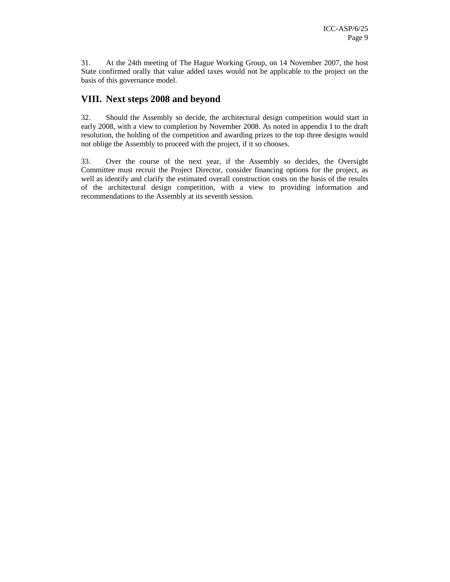31. At the 24th meeting of The Hague Working Group, on 14 November 2007, the host State confirmed orally that value added taxes would not be applicable to the project on the basis of this governance model.

# **VIII. Next steps 2008 and beyond**

32. Should the Assembly so decide, the architectural design competition would start in early 2008, with a view to completion by November 2008. As noted in appendix I to the draft resolution, the holding of the competition and awarding prizes to the top three designs would not oblige the Assembly to proceed with the project, if it so chooses.

33. Over the course of the next year, if the Assembly so decides, the Oversight Committee must recruit the Project Director, consider financing options for the project, as well as identify and clarify the estimated overall construction costs on the basis of the results of the architectural design competition, with a view to providing information and recommendations to the Assembly at its seventh session.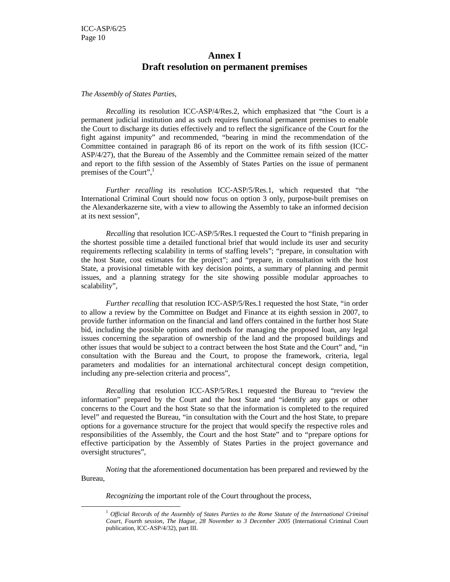$\overline{a}$ 

# **Annex I Draft resolution on permanent premises**

#### *The Assembly of States Parties,*

*Recalling* its resolution ICC-ASP/4/Res.2, which emphasized that "the Court is a permanent judicial institution and as such requires functional permanent premises to enable the Court to discharge its duties effectively and to reflect the significance of the Court for the fight against impunity" and recommended, "bearing in mind the recommendation of the Committee contained in paragraph 86 of its report on the work of its fifth session (ICC-ASP/4/27), that the Bureau of the Assembly and the Committee remain seized of the matter and report to the fifth session of the Assembly of States Parties on the issue of permanent premises of the Court", $\frac{1}{1}$ 

 *Further recalling* its resolution ICC-ASP/5/Res.1, which requested that "the International Criminal Court should now focus on option 3 only, purpose-built premises on the Alexanderkazerne site, with a view to allowing the Assembly to take an informed decision at its next session",

*Recalling* that resolution ICC-ASP/5/Res.1 requested the Court to "finish preparing in the shortest possible time a detailed functional brief that would include its user and security requirements reflecting scalability in terms of staffing levels"; "prepare, in consultation with the host State, cost estimates for the project"; and "prepare, in consultation with the host State, a provisional timetable with key decision points, a summary of planning and permit issues, and a planning strategy for the site showing possible modular approaches to scalability",

 *Further recalling* that resolution ICC-ASP/5/Res.1 requested the host State, "in order to allow a review by the Committee on Budget and Finance at its eighth session in 2007, to provide further information on the financial and land offers contained in the further host State bid, including the possible options and methods for managing the proposed loan, any legal issues concerning the separation of ownership of the land and the proposed buildings and other issues that would be subject to a contract between the host State and the Court" and, "in consultation with the Bureau and the Court, to propose the framework, criteria, legal parameters and modalities for an international architectural concept design competition, including any pre-selection criteria and process",

 *Recalling* that resolution ICC-ASP/5/Res.1 requested the Bureau to "review the information" prepared by the Court and the host State and "identify any gaps or other concerns to the Court and the host State so that the information is completed to the required level" and requested the Bureau, "in consultation with the Court and the host State, to prepare options for a governance structure for the project that would specify the respective roles and responsibilities of the Assembly, the Court and the host State" and to "prepare options for effective participation by the Assembly of States Parties in the project governance and oversight structures",

*Noting* that the aforementioned documentation has been prepared and reviewed by the Bureau,

*Recognizing* the important role of the Court throughout the process,

<sup>1</sup> *Official Records of the Assembly of States Parties to the Rome Statute of the International Criminal Court, Fourth session, The Hague, 28 November to 3 December 2005* (International Criminal Court publication, ICC-ASP/4/32), part III.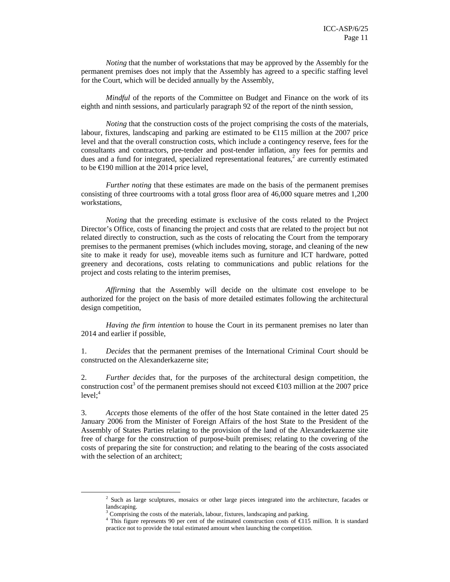*Noting* that the number of workstations that may be approved by the Assembly for the permanent premises does not imply that the Assembly has agreed to a specific staffing level for the Court, which will be decided annually by the Assembly,

*Mindful* of the reports of the Committee on Budget and Finance on the work of its eighth and ninth sessions, and particularly paragraph 92 of the report of the ninth session,

*Noting* that the construction costs of the project comprising the costs of the materials, labour, fixtures, landscaping and parking are estimated to be €115 million at the 2007 price level and that the overall construction costs, which include a contingency reserve, fees for the consultants and contractors, pre-tender and post-tender inflation, any fees for permits and dues and a fund for integrated, specialized representational features,<sup>2</sup> are currently estimated to be €190 million at the 2014 price level,

*Further noting* that these estimates are made on the basis of the permanent premises consisting of three courtrooms with a total gross floor area of 46,000 square metres and 1,200 workstations,

*Noting* that the preceding estimate is exclusive of the costs related to the Project Director's Office, costs of financing the project and costs that are related to the project but not related directly to construction, such as the costs of relocating the Court from the temporary premises to the permanent premises (which includes moving, storage, and cleaning of the new site to make it ready for use), moveable items such as furniture and ICT hardware, potted greenery and decorations, costs relating to communications and public relations for the project and costs relating to the interim premises,

*Affirming* that the Assembly will decide on the ultimate cost envelope to be authorized for the project on the basis of more detailed estimates following the architectural design competition,

*Having the firm intention* to house the Court in its permanent premises no later than 2014 and earlier if possible,

1. *Decides* that the permanent premises of the International Criminal Court should be constructed on the Alexanderkazerne site;

2. *Further decides* that, for the purposes of the architectural design competition, the construction cost<sup>3</sup> of the permanent premises should not exceed  $\epsilon$  103 million at the 2007 price  $level;$ <sup>4</sup>

3. *Accepts* those elements of the offer of the host State contained in the letter dated 25 January 2006 from the Minister of Foreign Affairs of the host State to the President of the Assembly of States Parties relating to the provision of the land of the Alexanderkazerne site free of charge for the construction of purpose-built premises; relating to the covering of the costs of preparing the site for construction; and relating to the bearing of the costs associated with the selection of an architect;

 $\overline{a}$ 

<sup>&</sup>lt;sup>2</sup> Such as large sculptures, mosaics or other large pieces integrated into the architecture, facades or landscaping.

<sup>&</sup>lt;sup>3</sup> Comprising the costs of the materials, labour, fixtures, landscaping and parking.

<sup>&</sup>lt;sup>4</sup> This figure represents 90 per cent of the estimated construction costs of  $\epsilon$ 115 million. It is standard practice not to provide the total estimated amount when launching the competition.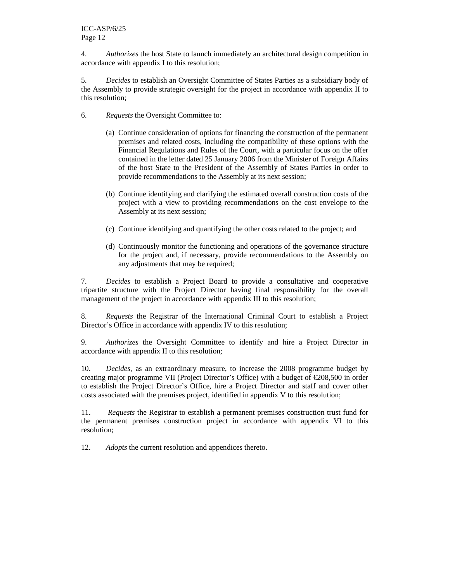4. *Authorizes* the host State to launch immediately an architectural design competition in accordance with appendix I to this resolution;

5. *Decides* to establish an Oversight Committee of States Parties as a subsidiary body of the Assembly to provide strategic oversight for the project in accordance with appendix II to this resolution;

- 6. *Requests* the Oversight Committee to:
	- (a) Continue consideration of options for financing the construction of the permanent premises and related costs, including the compatibility of these options with the Financial Regulations and Rules of the Court, with a particular focus on the offer contained in the letter dated 25 January 2006 from the Minister of Foreign Affairs of the host State to the President of the Assembly of States Parties in order to provide recommendations to the Assembly at its next session;
	- (b) Continue identifying and clarifying the estimated overall construction costs of the project with a view to providing recommendations on the cost envelope to the Assembly at its next session;
	- (c) Continue identifying and quantifying the other costs related to the project; and
	- (d) Continuously monitor the functioning and operations of the governance structure for the project and, if necessary, provide recommendations to the Assembly on any adjustments that may be required;

7. *Decides* to establish a Project Board to provide a consultative and cooperative tripartite structure with the Project Director having final responsibility for the overall management of the project in accordance with appendix III to this resolution;

8. *Requests* the Registrar of the International Criminal Court to establish a Project Director's Office in accordance with appendix IV to this resolution;

9. *Authorizes* the Oversight Committee to identify and hire a Project Director in accordance with appendix II to this resolution;

10. *Decides,* as an extraordinary measure, to increase the 2008 programme budget by creating major programme VII (Project Director's Office) with a budget of €208,500 in order to establish the Project Director's Office, hire a Project Director and staff and cover other costs associated with the premises project, identified in appendix V to this resolution;

11. *Requests* the Registrar to establish a permanent premises construction trust fund for the permanent premises construction project in accordance with appendix VI to this resolution;

12. *Adopts* the current resolution and appendices thereto.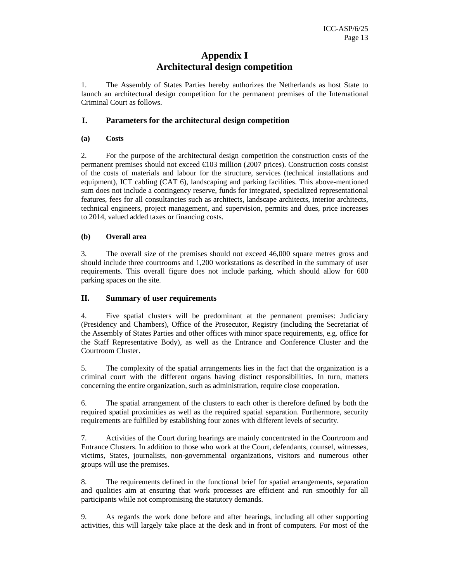# **Appendix I Architectural design competition**

1. The Assembly of States Parties hereby authorizes the Netherlands as host State to launch an architectural design competition for the permanent premises of the International Criminal Court as follows.

### **I. Parameters for the architectural design competition**

### **(a) Costs**

2. For the purpose of the architectural design competition the construction costs of the permanent premises should not exceed €103 million (2007 prices). Construction costs consist of the costs of materials and labour for the structure, services (technical installations and equipment), ICT cabling (CAT 6), landscaping and parking facilities. This above-mentioned sum does not include a contingency reserve, funds for integrated, specialized representational features, fees for all consultancies such as architects, landscape architects, interior architects, technical engineers, project management, and supervision, permits and dues, price increases to 2014, valued added taxes or financing costs.

### **(b) Overall area**

3. The overall size of the premises should not exceed 46,000 square metres gross and should include three courtrooms and 1,200 workstations as described in the summary of user requirements. This overall figure does not include parking, which should allow for 600 parking spaces on the site.

### **II. Summary of user requirements**

4. Five spatial clusters will be predominant at the permanent premises: Judiciary (Presidency and Chambers), Office of the Prosecutor, Registry (including the Secretariat of the Assembly of States Parties and other offices with minor space requirements, e.g. office for the Staff Representative Body), as well as the Entrance and Conference Cluster and the Courtroom Cluster.

5. The complexity of the spatial arrangements lies in the fact that the organization is a criminal court with the different organs having distinct responsibilities. In turn, matters concerning the entire organization, such as administration, require close cooperation.

6. The spatial arrangement of the clusters to each other is therefore defined by both the required spatial proximities as well as the required spatial separation. Furthermore, security requirements are fulfilled by establishing four zones with different levels of security.

7. Activities of the Court during hearings are mainly concentrated in the Courtroom and Entrance Clusters. In addition to those who work at the Court, defendants, counsel, witnesses, victims, States, journalists, non-governmental organizations, visitors and numerous other groups will use the premises.

8. The requirements defined in the functional brief for spatial arrangements, separation and qualities aim at ensuring that work processes are efficient and run smoothly for all participants while not compromising the statutory demands.

9. As regards the work done before and after hearings, including all other supporting activities, this will largely take place at the desk and in front of computers. For most of the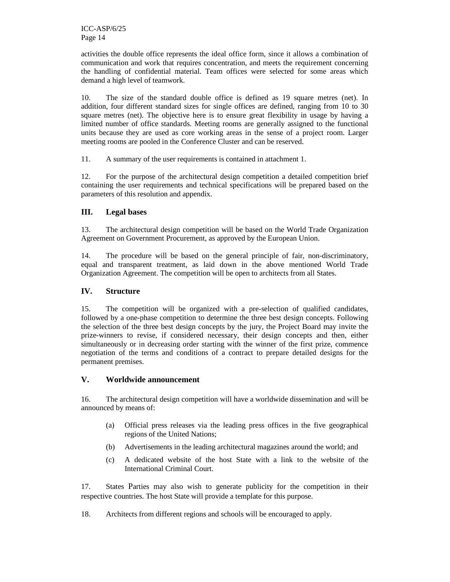activities the double office represents the ideal office form, since it allows a combination of communication and work that requires concentration, and meets the requirement concerning the handling of confidential material. Team offices were selected for some areas which demand a high level of teamwork.

10. The size of the standard double office is defined as 19 square metres (net). In addition, four different standard sizes for single offices are defined, ranging from 10 to 30 square metres (net). The objective here is to ensure great flexibility in usage by having a limited number of office standards. Meeting rooms are generally assigned to the functional units because they are used as core working areas in the sense of a project room. Larger meeting rooms are pooled in the Conference Cluster and can be reserved.

11. A summary of the user requirements is contained in attachment 1.

12. For the purpose of the architectural design competition a detailed competition brief containing the user requirements and technical specifications will be prepared based on the parameters of this resolution and appendix.

## **III. Legal bases**

13. The architectural design competition will be based on the World Trade Organization Agreement on Government Procurement, as approved by the European Union.

14. The procedure will be based on the general principle of fair, non-discriminatory, equal and transparent treatment, as laid down in the above mentioned World Trade Organization Agreement. The competition will be open to architects from all States.

### **IV. Structure**

15. The competition will be organized with a pre-selection of qualified candidates, followed by a one-phase competition to determine the three best design concepts. Following the selection of the three best design concepts by the jury, the Project Board may invite the prize-winners to revise, if considered necessary, their design concepts and then, either simultaneously or in decreasing order starting with the winner of the first prize, commence negotiation of the terms and conditions of a contract to prepare detailed designs for the permanent premises.

#### **V. Worldwide announcement**

16. The architectural design competition will have a worldwide dissemination and will be announced by means of:

- (a) Official press releases via the leading press offices in the five geographical regions of the United Nations;
- (b) Advertisements in the leading architectural magazines around the world; and
- (c) A dedicated website of the host State with a link to the website of the International Criminal Court.

17. States Parties may also wish to generate publicity for the competition in their respective countries. The host State will provide a template for this purpose.

18. Architects from different regions and schools will be encouraged to apply.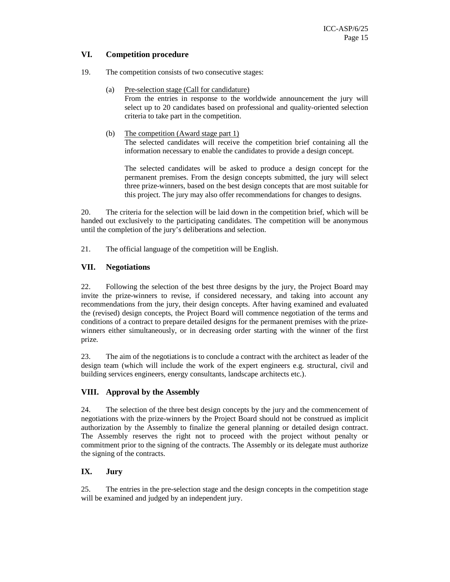## **VI. Competition procedure**

- 19. The competition consists of two consecutive stages:
	- (a) Pre-selection stage (Call for candidature) From the entries in response to the worldwide announcement the jury will select up to 20 candidates based on professional and quality-oriented selection criteria to take part in the competition.
	- (b) The competition (Award stage part 1) The selected candidates will receive the competition brief containing all the information necessary to enable the candidates to provide a design concept.

The selected candidates will be asked to produce a design concept for the permanent premises. From the design concepts submitted, the jury will select three prize-winners, based on the best design concepts that are most suitable for this project. The jury may also offer recommendations for changes to designs.

20. The criteria for the selection will be laid down in the competition brief, which will be handed out exclusively to the participating candidates. The competition will be anonymous until the completion of the jury's deliberations and selection.

21. The official language of the competition will be English.

## **VII. Negotiations**

22. Following the selection of the best three designs by the jury, the Project Board may invite the prize-winners to revise, if considered necessary, and taking into account any recommendations from the jury, their design concepts. After having examined and evaluated the (revised) design concepts, the Project Board will commence negotiation of the terms and conditions of a contract to prepare detailed designs for the permanent premises with the prizewinners either simultaneously, or in decreasing order starting with the winner of the first prize.

23. The aim of the negotiations is to conclude a contract with the architect as leader of the design team (which will include the work of the expert engineers e.g. structural, civil and building services engineers, energy consultants, landscape architects etc.).

### **VIII. Approval by the Assembly**

24. The selection of the three best design concepts by the jury and the commencement of negotiations with the prize-winners by the Project Board should not be construed as implicit authorization by the Assembly to finalize the general planning or detailed design contract. The Assembly reserves the right not to proceed with the project without penalty or commitment prior to the signing of the contracts. The Assembly or its delegate must authorize the signing of the contracts.

# **IX. Jury**

25. The entries in the pre-selection stage and the design concepts in the competition stage will be examined and judged by an independent jury.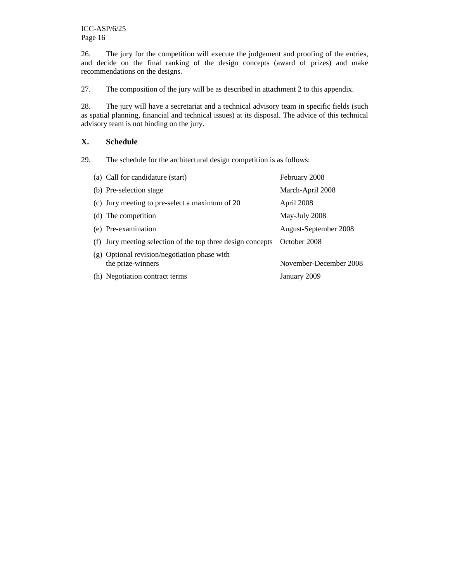26. The jury for the competition will execute the judgement and proofing of the entries, and decide on the final ranking of the design concepts (award of prizes) and make recommendations on the designs.

27. The composition of the jury will be as described in attachment 2 to this appendix.

28. The jury will have a secretariat and a technical advisory team in specific fields (such as spatial planning, financial and technical issues) at its disposal. The advice of this technical advisory team is not binding on the jury.

### **X. Schedule**

29. The schedule for the architectural design competition is as follows:

| (a) Call for candidature (start)                                  | February 2008          |
|-------------------------------------------------------------------|------------------------|
| (b) Pre-selection stage                                           | March-April 2008       |
| (c) Jury meeting to pre-select a maximum of 20                    | April 2008             |
| (d) The competition                                               | May-July 2008          |
| (e) Pre-examination                                               | August-September 2008  |
| (f) Jury meeting selection of the top three design concepts       | October 2008           |
| (g) Optional revision/negotiation phase with<br>the prize-winners | November-December 2008 |
| (h) Negotiation contract terms                                    | January 2009           |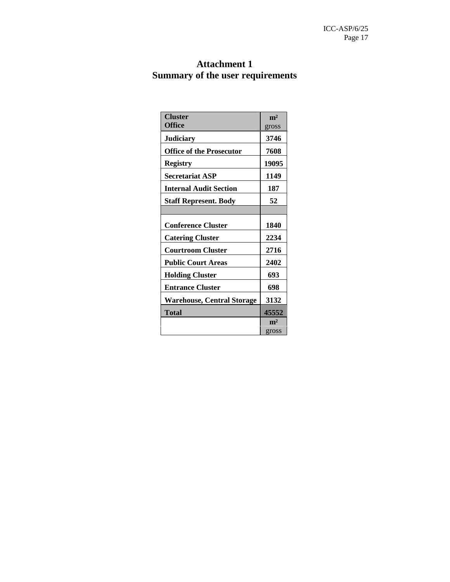| <b>Attachment 1</b>              |
|----------------------------------|
| Summary of the user requirements |

| <b>Cluster</b>                    | m <sup>2</sup> |
|-----------------------------------|----------------|
| <b>Office</b>                     | gross          |
| <b>Judiciary</b>                  | 3746           |
| <b>Office of the Prosecutor</b>   | 7608           |
| <b>Registry</b>                   | 19095          |
| <b>Secretariat ASP</b>            | 1149           |
| <b>Internal Audit Section</b>     | 187            |
| <b>Staff Represent. Body</b>      | 52             |
|                                   |                |
| <b>Conference Cluster</b>         | 1840           |
| <b>Catering Cluster</b>           | 2234           |
| <b>Courtroom Cluster</b>          | 2716           |
| <b>Public Court Areas</b>         | 2402           |
| <b>Holding Cluster</b>            | 693            |
| <b>Entrance Cluster</b>           | 698            |
| <b>Warehouse, Central Storage</b> | 3132           |
| <b>Total</b>                      | 45552          |
|                                   | m <sup>2</sup> |
|                                   | gross          |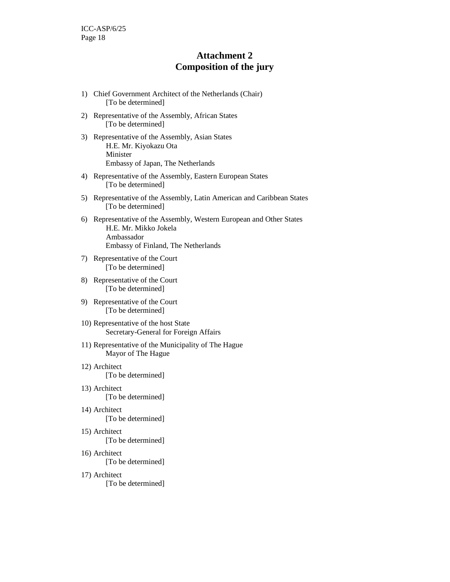# **Attachment 2 Composition of the jury**

- 1) Chief Government Architect of the Netherlands (Chair) [To be determined]
- 2) Representative of the Assembly, African States [To be determined]
- 3) Representative of the Assembly, Asian States H.E. Mr. Kiyokazu Ota Minister Embassy of Japan, The Netherlands
- 4) Representative of the Assembly, Eastern European States [To be determined]
- 5) Representative of the Assembly, Latin American and Caribbean States [To be determined]
- 6) Representative of the Assembly, Western European and Other States H.E. Mr. Mikko Jokela Ambassador Embassy of Finland, The Netherlands
- 7) Representative of the Court [To be determined]
- 8) Representative of the Court [To be determined]
- 9) Representative of the Court [To be determined]
- 10) Representative of the host State Secretary-General for Foreign Affairs
- 11) Representative of the Municipality of The Hague Mayor of The Hague
- 12) Architect [To be determined]
- 13) Architect [To be determined]

14) Architect [To be determined]

15) Architect

[To be determined]

16) Architect

[To be determined]

17) Architect

[To be determined]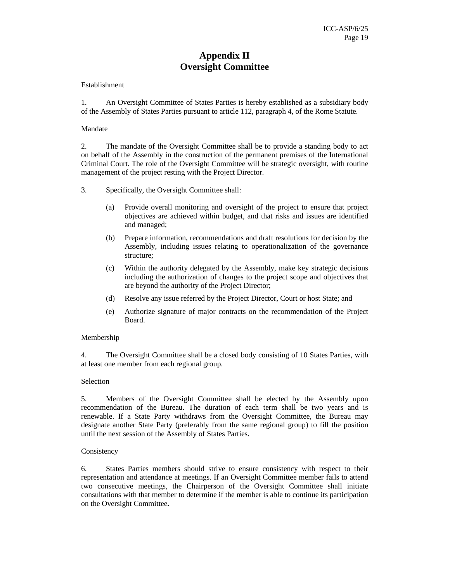# **Appendix II Oversight Committee**

#### Establishment

1. An Oversight Committee of States Parties is hereby established as a subsidiary body of the Assembly of States Parties pursuant to article 112, paragraph 4, of the Rome Statute.

#### Mandate

2. The mandate of the Oversight Committee shall be to provide a standing body to act on behalf of the Assembly in the construction of the permanent premises of the International Criminal Court. The role of the Oversight Committee will be strategic oversight, with routine management of the project resting with the Project Director.

3. Specifically, the Oversight Committee shall:

- (a) Provide overall monitoring and oversight of the project to ensure that project objectives are achieved within budget, and that risks and issues are identified and managed;
- (b) Prepare information, recommendations and draft resolutions for decision by the Assembly, including issues relating to operationalization of the governance structure;
- (c) Within the authority delegated by the Assembly, make key strategic decisions including the authorization of changes to the project scope and objectives that are beyond the authority of the Project Director;
- (d) Resolve any issue referred by the Project Director, Court or host State; and
- (e) Authorize signature of major contracts on the recommendation of the Project Board.

#### Membership

4. The Oversight Committee shall be a closed body consisting of 10 States Parties, with at least one member from each regional group.

#### Selection

5. Members of the Oversight Committee shall be elected by the Assembly upon recommendation of the Bureau. The duration of each term shall be two years and is renewable. If a State Party withdraws from the Oversight Committee, the Bureau may designate another State Party (preferably from the same regional group) to fill the position until the next session of the Assembly of States Parties.

#### **Consistency**

6. States Parties members should strive to ensure consistency with respect to their representation and attendance at meetings. If an Oversight Committee member fails to attend two consecutive meetings, the Chairperson of the Oversight Committee shall initiate consultations with that member to determine if the member is able to continue its participation on the Oversight Committee**.**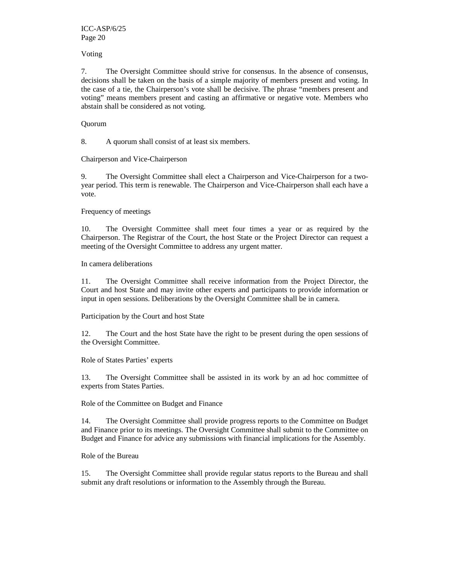Voting

7. The Oversight Committee should strive for consensus. In the absence of consensus, decisions shall be taken on the basis of a simple majority of members present and voting. In the case of a tie, the Chairperson's vote shall be decisive. The phrase "members present and voting" means members present and casting an affirmative or negative vote. Members who abstain shall be considered as not voting.

### Quorum

8. A quorum shall consist of at least six members.

Chairperson and Vice-Chairperson

9. The Oversight Committee shall elect a Chairperson and Vice-Chairperson for a twoyear period. This term is renewable. The Chairperson and Vice-Chairperson shall each have a vote.

Frequency of meetings

10. The Oversight Committee shall meet four times a year or as required by the Chairperson. The Registrar of the Court, the host State or the Project Director can request a meeting of the Oversight Committee to address any urgent matter.

In camera deliberations

11. The Oversight Committee shall receive information from the Project Director, the Court and host State and may invite other experts and participants to provide information or input in open sessions. Deliberations by the Oversight Committee shall be in camera.

Participation by the Court and host State

12. The Court and the host State have the right to be present during the open sessions of the Oversight Committee.

### Role of States Parties' experts

13. The Oversight Committee shall be assisted in its work by an ad hoc committee of experts from States Parties.

Role of the Committee on Budget and Finance

14. The Oversight Committee shall provide progress reports to the Committee on Budget and Finance prior to its meetings. The Oversight Committee shall submit to the Committee on Budget and Finance for advice any submissions with financial implications for the Assembly.

#### Role of the Bureau

15. The Oversight Committee shall provide regular status reports to the Bureau and shall submit any draft resolutions or information to the Assembly through the Bureau.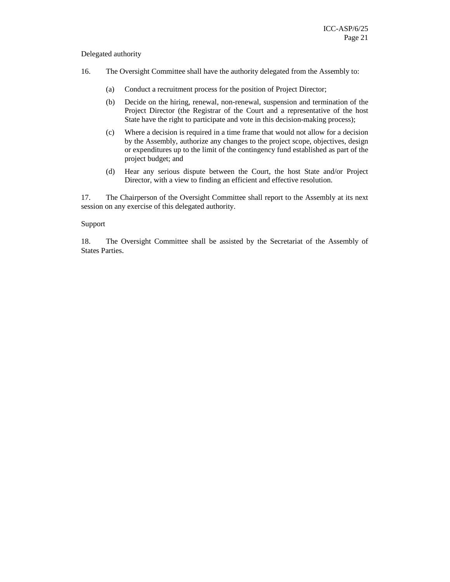Delegated authority

- 16. The Oversight Committee shall have the authority delegated from the Assembly to:
	- (a) Conduct a recruitment process for the position of Project Director;
	- (b) Decide on the hiring, renewal, non-renewal, suspension and termination of the Project Director (the Registrar of the Court and a representative of the host State have the right to participate and vote in this decision-making process);
	- (c) Where a decision is required in a time frame that would not allow for a decision by the Assembly, authorize any changes to the project scope, objectives, design or expenditures up to the limit of the contingency fund established as part of the project budget; and
	- (d) Hear any serious dispute between the Court, the host State and/or Project Director, with a view to finding an efficient and effective resolution.

17. The Chairperson of the Oversight Committee shall report to the Assembly at its next session on any exercise of this delegated authority.

#### Support

18. The Oversight Committee shall be assisted by the Secretariat of the Assembly of States Parties.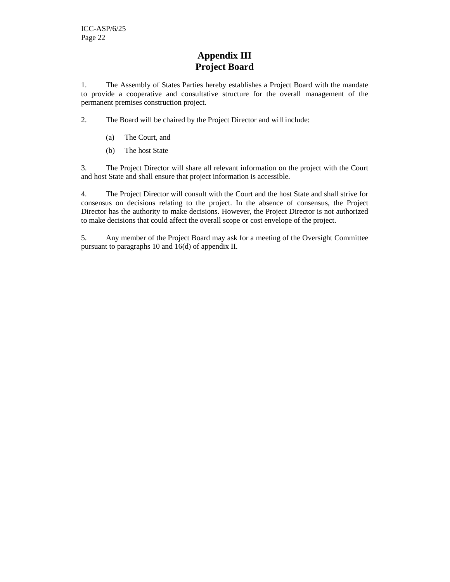# **Appendix III Project Board**

1. The Assembly of States Parties hereby establishes a Project Board with the mandate to provide a cooperative and consultative structure for the overall management of the permanent premises construction project.

2. The Board will be chaired by the Project Director and will include:

- (a) The Court, and
- (b) The host State

3. The Project Director will share all relevant information on the project with the Court and host State and shall ensure that project information is accessible.

4. The Project Director will consult with the Court and the host State and shall strive for consensus on decisions relating to the project. In the absence of consensus, the Project Director has the authority to make decisions. However, the Project Director is not authorized to make decisions that could affect the overall scope or cost envelope of the project.

5. Any member of the Project Board may ask for a meeting of the Oversight Committee pursuant to paragraphs 10 and 16(d) of appendix II.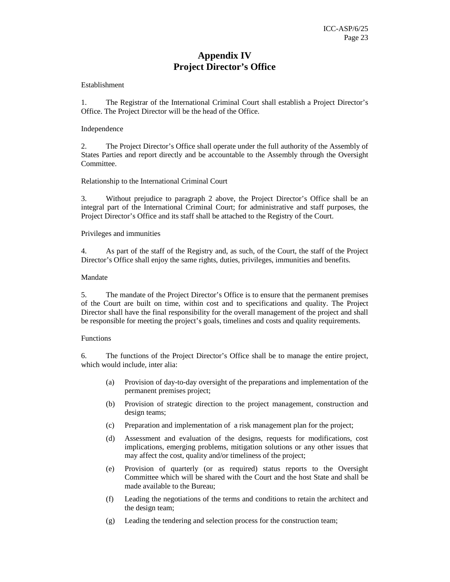# **Appendix IV Project Director's Office**

Establishment

1. The Registrar of the International Criminal Court shall establish a Project Director's Office. The Project Director will be the head of the Office.

#### Independence

2. The Project Director's Office shall operate under the full authority of the Assembly of States Parties and report directly and be accountable to the Assembly through the Oversight Committee.

Relationship to the International Criminal Court

3. Without prejudice to paragraph 2 above, the Project Director's Office shall be an integral part of the International Criminal Court; for administrative and staff purposes, the Project Director's Office and its staff shall be attached to the Registry of the Court.

#### Privileges and immunities

4. As part of the staff of the Registry and, as such, of the Court, the staff of the Project Director's Office shall enjoy the same rights, duties, privileges, immunities and benefits.

#### Mandate

5. The mandate of the Project Director's Office is to ensure that the permanent premises of the Court are built on time, within cost and to specifications and quality. The Project Director shall have the final responsibility for the overall management of the project and shall be responsible for meeting the project's goals, timelines and costs and quality requirements.

#### **Functions**

6. The functions of the Project Director's Office shall be to manage the entire project, which would include, inter alia:

- (a) Provision of day-to-day oversight of the preparations and implementation of the permanent premises project;
- (b) Provision of strategic direction to the project management, construction and design teams;
- (c) Preparation and implementation of a risk management plan for the project;
- (d) Assessment and evaluation of the designs, requests for modifications, cost implications, emerging problems, mitigation solutions or any other issues that may affect the cost, quality and/or timeliness of the project;
- (e) Provision of quarterly (or as required) status reports to the Oversight Committee which will be shared with the Court and the host State and shall be made available to the Bureau;
- (f) Leading the negotiations of the terms and conditions to retain the architect and the design team;
- (g) Leading the tendering and selection process for the construction team;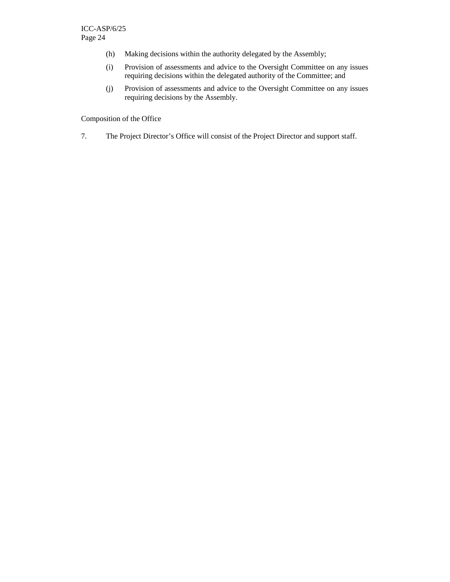- (h) Making decisions within the authority delegated by the Assembly;
- (i) Provision of assessments and advice to the Oversight Committee on any issues requiring decisions within the delegated authority of the Committee; and
- (j) Provision of assessments and advice to the Oversight Committee on any issues requiring decisions by the Assembly.

### Composition of the Office

7. The Project Director's Office will consist of the Project Director and support staff.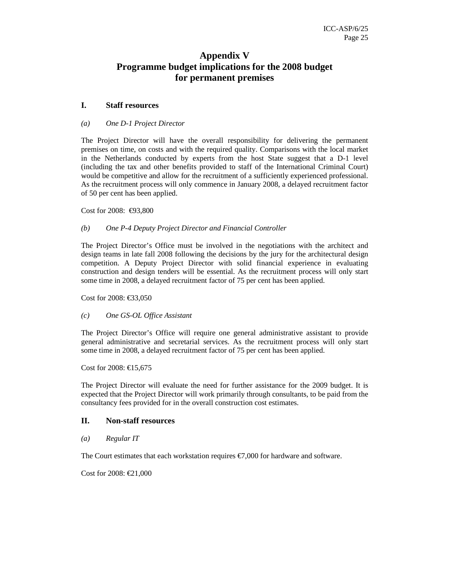# **Appendix V Programme budget implications for the 2008 budget for permanent premises**

### **I. Staff resources**

#### *(a) One D-1 Project Director*

The Project Director will have the overall responsibility for delivering the permanent premises on time, on costs and with the required quality. Comparisons with the local market in the Netherlands conducted by experts from the host State suggest that a D-1 level (including the tax and other benefits provided to staff of the International Criminal Court) would be competitive and allow for the recruitment of a sufficiently experienced professional. As the recruitment process will only commence in January 2008, a delayed recruitment factor of 50 per cent has been applied.

Cost for 2008: €93,800

#### *(b) One P-4 Deputy Project Director and Financial Controller*

The Project Director's Office must be involved in the negotiations with the architect and design teams in late fall 2008 following the decisions by the jury for the architectural design competition. A Deputy Project Director with solid financial experience in evaluating construction and design tenders will be essential. As the recruitment process will only start some time in 2008, a delayed recruitment factor of 75 per cent has been applied.

Cost for 2008: €33,050

#### *(c) One GS-OL Office Assistant*

The Project Director's Office will require one general administrative assistant to provide general administrative and secretarial services. As the recruitment process will only start some time in 2008, a delayed recruitment factor of 75 per cent has been applied.

Cost for 2008: €15,675

The Project Director will evaluate the need for further assistance for the 2009 budget. It is expected that the Project Director will work primarily through consultants, to be paid from the consultancy fees provided for in the overall construction cost estimates.

#### **II. Non-staff resources**

*(a) Regular IT* 

The Court estimates that each workstation requires  $\epsilon$ 7,000 for hardware and software.

Cost for 2008: €21,000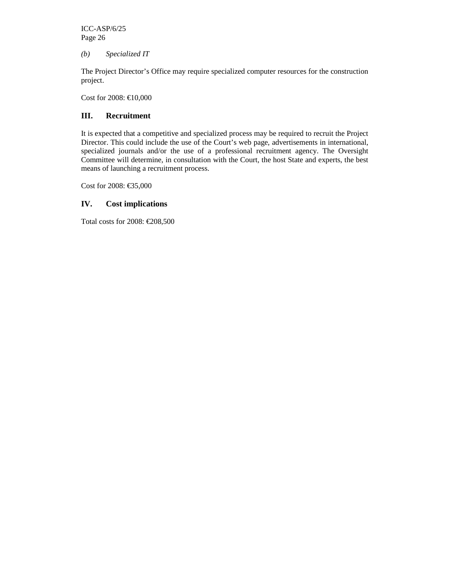ICC-ASP/6/25 Page 26

*(b) Specialized IT* 

The Project Director's Office may require specialized computer resources for the construction project.

Cost for 2008: €10,000

## **III. Recruitment**

It is expected that a competitive and specialized process may be required to recruit the Project Director. This could include the use of the Court's web page, advertisements in international, specialized journals and/or the use of a professional recruitment agency. The Oversight Committee will determine, in consultation with the Court, the host State and experts, the best means of launching a recruitment process.

Cost for 2008: €35,000

## **IV. Cost implications**

Total costs for 2008: €208,500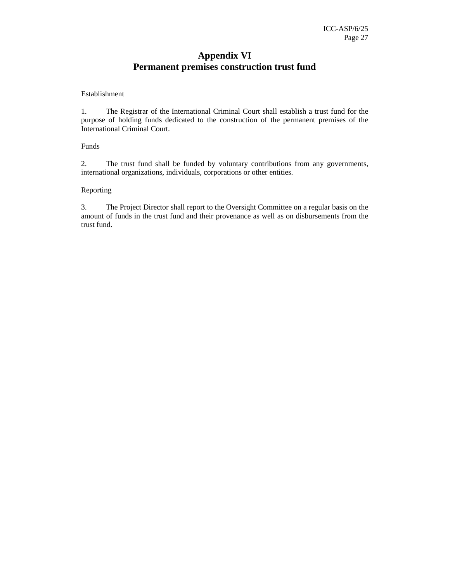# **Appendix VI Permanent premises construction trust fund**

#### Establishment

1. The Registrar of the International Criminal Court shall establish a trust fund for the purpose of holding funds dedicated to the construction of the permanent premises of the International Criminal Court.

### Funds

2. The trust fund shall be funded by voluntary contributions from any governments, international organizations, individuals, corporations or other entities.

### Reporting

3. The Project Director shall report to the Oversight Committee on a regular basis on the amount of funds in the trust fund and their provenance as well as on disbursements from the trust fund.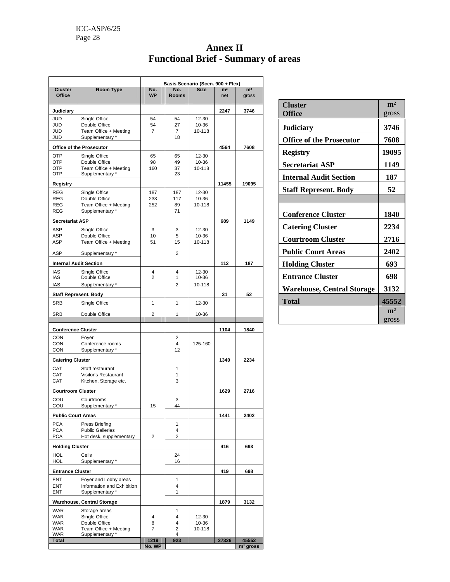# **Annex II Functional Brief - Summary of areas**

|                                               |                                               |                  |                     | Basis Scenario (Scen. 900 + Flex) |                       |                         |
|-----------------------------------------------|-----------------------------------------------|------------------|---------------------|-----------------------------------|-----------------------|-------------------------|
| <b>Cluster</b><br><b>Office</b>               | <b>Room Type</b>                              | No.<br><b>WP</b> | No.<br><b>Rooms</b> | <b>Size</b>                       | m <sup>2</sup><br>net | m <sup>2</sup><br>gross |
| Judiciary                                     |                                               |                  |                     |                                   | 2247                  | 3746                    |
| JUD                                           | Single Office                                 | 54               | 54                  | 12-30                             |                       |                         |
| JUD<br>JUD                                    | Double Office<br>Team Office + Meeting        | 54<br>7          | 27<br>7             | 10-36<br>10-118                   |                       |                         |
| JUD                                           | Supplementary *                               |                  | 18                  |                                   |                       |                         |
|                                               | <b>Office of the Prosecutor</b>               |                  |                     |                                   | 4564                  | 7608                    |
| OTP                                           | Single Office                                 | 65               | 65                  | $12 - 30$                         |                       |                         |
| <b>OTP</b>                                    | Double Office                                 | 98               | 49                  | 10-36                             |                       |                         |
| <b>OTP</b><br>OTP                             | Team Office + Meeting<br>Supplementary *      | 160              | 37<br>23            | 10-118                            |                       |                         |
| Registry                                      |                                               |                  |                     |                                   | 11455                 | 19095                   |
| <b>REG</b>                                    | Single Office                                 | 187              | 187                 | 12-30                             |                       |                         |
| <b>REG</b><br><b>REG</b>                      | Double Office<br>Team Office + Meeting        | 233<br>252       | 117<br>89           | 10-36<br>10-118                   |                       |                         |
| <b>REG</b>                                    | Supplementary *                               |                  | 71                  |                                   |                       |                         |
| <b>Secretariat ASP</b>                        |                                               |                  |                     |                                   | 689                   | 1149                    |
| <b>ASP</b>                                    | Single Office                                 | 3                | 3                   | 12-30                             |                       |                         |
| ASP                                           | Double Office                                 | 10               | 5                   | 10-36                             |                       |                         |
| ASP                                           | Team Office + Meeting                         | 51               | 15                  | 10-118                            |                       |                         |
| ASP<br><b>Internal Audit Section</b>          | Supplementary *                               |                  | 2                   |                                   | 112                   | 187                     |
| <b>IAS</b>                                    | Single Office                                 | 4                | 4                   | $12 - 30$                         |                       |                         |
| IAS                                           | Double Office                                 | 2                | 1                   | 10-36                             |                       |                         |
| IAS                                           | Supplementary *                               |                  | $\overline{2}$      | 10-118                            |                       |                         |
| <b>Staff Represent. Body</b>                  |                                               |                  |                     |                                   | 31                    | 52                      |
| <b>SRB</b>                                    | Single Office                                 | 1                | 1                   | 12-30                             |                       |                         |
| <b>SRB</b>                                    | Double Office                                 | 2                | 1                   | 10-36                             |                       |                         |
| <b>Conference Cluster</b>                     |                                               |                  |                     |                                   | 1104                  | 1840                    |
| CON                                           | Foyer                                         |                  | 2                   |                                   |                       |                         |
| CON                                           | Conference rooms                              |                  | 4                   | 125-160                           |                       |                         |
| CON                                           | Supplementary *                               |                  | 12                  |                                   |                       |                         |
| <b>Catering Cluster</b>                       |                                               |                  |                     |                                   | 1340                  | 2234                    |
| CAT<br>CAT                                    | Staff restaurant<br>Visitor's Restaurant      |                  | 1<br>1              |                                   |                       |                         |
| CAT                                           | Kitchen, Storage etc.                         |                  | 3                   |                                   |                       |                         |
| <b>Courtroom Cluster</b>                      |                                               |                  |                     |                                   | 1629                  | 2716                    |
| COU<br>COU                                    | Courtrooms<br>Supplementary *                 | 15               | 3<br>44             |                                   |                       |                         |
| <b>Public Court Areas</b>                     |                                               |                  |                     |                                   | 1441                  | 2402                    |
| <b>PCA</b>                                    | Press Briefing                                |                  | 1                   |                                   |                       |                         |
| <b>PCA</b>                                    | <b>Public Galleries</b>                       |                  | 4                   |                                   |                       |                         |
| <b>PCA</b>                                    | Hot desk, supplementary                       | $\overline{2}$   | 2                   |                                   |                       |                         |
| <b>Holding Cluster</b><br><b>HOL</b><br>Cells |                                               |                  | 24                  |                                   | 416                   | 693                     |
| <b>HOL</b>                                    | Supplementary *                               |                  | 16                  |                                   |                       |                         |
| <b>Entrance Cluster</b>                       |                                               |                  |                     |                                   | 419                   | 698                     |
| <b>ENT</b>                                    | Foyer and Lobby areas                         |                  | 1<br>4              |                                   |                       |                         |
| <b>ENT</b><br><b>ENT</b>                      | Information and Exhibition<br>Supplementary * |                  | 1                   |                                   |                       |                         |
|                                               | Warehouse, Central Storage                    |                  |                     |                                   | 1879                  | 3132                    |
| <b>WAR</b>                                    | Storage areas                                 |                  | 1                   |                                   |                       |                         |
| <b>WAR</b><br><b>WAR</b>                      | Single Office<br>Double Office                | 4<br>8           | 4<br>4              | 12-30<br>$10 - 36$                |                       |                         |
| <b>WAR</b>                                    | Team Office + Meeting                         | 7                | 2                   | 10-118                            |                       |                         |
| <b>WAR</b><br><b>Total</b>                    | Supplementary *                               | 1219             | 4<br>923            |                                   | 27326                 | 45552                   |
|                                               |                                               | No. WP           |                     |                                   |                       | $m2$ gross              |

| <b>Cluster</b>                    | m <sup>2</sup> |
|-----------------------------------|----------------|
| <b>Office</b>                     | gross          |
| <b>Judiciary</b>                  | 3746           |
| <b>Office of the Prosecutor</b>   | 7608           |
| <b>Registry</b>                   | 19095          |
| <b>Secretariat ASP</b>            | 1149           |
| <b>Internal Audit Section</b>     | 187            |
| <b>Staff Represent. Body</b>      | 52             |
|                                   |                |
| <b>Conference Cluster</b>         | 1840           |
| <b>Catering Cluster</b>           | 2234           |
| <b>Courtroom Cluster</b>          | 2716           |
| <b>Public Court Areas</b>         | 2402           |
| <b>Holding Cluster</b>            | 693            |
| <b>Entrance Cluster</b>           | 698            |
| <b>Warehouse, Central Storage</b> | 3132           |
| Total                             | 45552          |
|                                   | m <sup>2</sup> |
|                                   | gross          |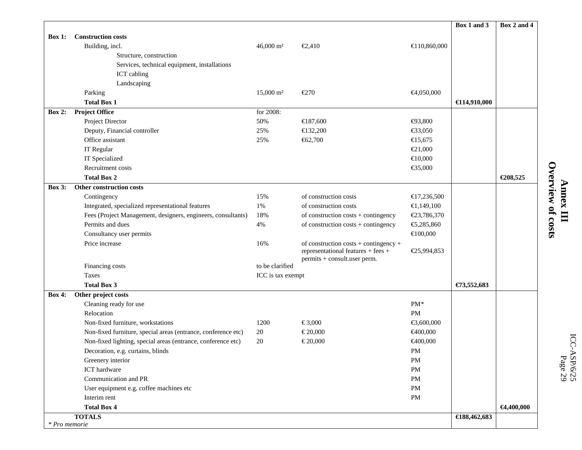|               |                                                               |                      |                                                                                                             |                 | Box 1 and 3  | Box 2 and 4 |
|---------------|---------------------------------------------------------------|----------------------|-------------------------------------------------------------------------------------------------------------|-----------------|--------------|-------------|
| $Box 1$ :     | <b>Construction costs</b>                                     |                      |                                                                                                             |                 |              |             |
|               | Building, incl.                                               | $46,000 \text{ m}^2$ | €2,410                                                                                                      | €110,860,000    |              |             |
|               | Structure, construction                                       |                      |                                                                                                             |                 |              |             |
|               | Services, technical equipment, installations                  |                      |                                                                                                             |                 |              |             |
|               | ICT cabling                                                   |                      |                                                                                                             |                 |              |             |
|               | Landscaping                                                   |                      |                                                                                                             |                 |              |             |
|               | Parking                                                       | $15,000 \text{ m}^2$ | E270                                                                                                        | €4,050,000      |              |             |
|               | <b>Total Box 1</b>                                            |                      |                                                                                                             |                 | €114,910,000 |             |
| Box 2:        | <b>Project Office</b>                                         | for 2008:            |                                                                                                             |                 |              |             |
|               | Project Director                                              | 50%                  | €187,600                                                                                                    | €93,800         |              |             |
|               | Deputy, Financial controller                                  | 25%                  | €132,200                                                                                                    | €33,050         |              |             |
|               | Office assistant                                              | 25%                  | €62,700                                                                                                     | €15,675         |              |             |
|               | IT Regular                                                    |                      |                                                                                                             | €21,000         |              |             |
|               | IT Specialized                                                |                      |                                                                                                             | €10,000         |              |             |
|               | Recruitment costs                                             |                      |                                                                                                             | €35,000         |              |             |
|               | <b>Total Box 2</b>                                            |                      |                                                                                                             |                 |              | €208,525    |
| Box $3:$      | Other construction costs                                      |                      |                                                                                                             |                 |              |             |
|               | Contingency                                                   | 15%                  | of construction costs                                                                                       | €17,236,500     |              |             |
|               | Integrated, specialized representational features             | 1%                   | of construction costs                                                                                       | €1,149,100      |              |             |
|               | Fees (Project Management, designers, engineers, consultants)  | 18%                  | of construction costs + contingency                                                                         | €23,786,370     |              |             |
|               | Permits and dues                                              | $4\%$                | of construction costs + contingency                                                                         | €5,285,860      |              |             |
|               | Consultancy user permits                                      |                      |                                                                                                             | €100,000        |              |             |
|               | Price increase                                                | 16%                  | of construction costs + contingency +<br>representational features + fees +<br>permits + consult.user perm. | €25,994,853     |              |             |
|               | Financing costs                                               | to be clarified      |                                                                                                             |                 |              |             |
|               | Taxes                                                         | ICC is tax exempt    |                                                                                                             |                 |              |             |
|               | <b>Total Box 3</b>                                            |                      |                                                                                                             |                 | €73,552,683  |             |
| <b>Box 4:</b> | Other project costs                                           |                      |                                                                                                             |                 |              |             |
|               | Cleaning ready for use                                        |                      |                                                                                                             | PM <sup>*</sup> |              |             |
|               | Relocation                                                    |                      |                                                                                                             | PM              |              |             |
|               | Non-fixed furniture, workstations                             | 1200                 | € 3,000                                                                                                     | €3,00,000       |              |             |
|               | Non-fixed furniture, special areas (entrance, conference etc) | 20                   | $\epsilon$ 20,000                                                                                           | €400,000        |              |             |
|               | Non-fixed lighting, special areas (entrance, conference etc)  | 20                   | € 20,000                                                                                                    | €400,000        |              |             |
|               | Decoration, e.g. curtains, blinds                             |                      |                                                                                                             | PM              |              |             |
|               | Greenery interior                                             |                      |                                                                                                             | PM              |              |             |
|               | ICT hardware                                                  |                      |                                                                                                             | PM              |              |             |
|               | Communication and PR                                          |                      |                                                                                                             | PM              |              |             |
|               | User equipment e.g. coffee machines etc                       |                      |                                                                                                             | PM              |              |             |
|               | Interim rent                                                  |                      |                                                                                                             | $\mathbf{PM}$   |              |             |
|               | <b>Total Box 4</b>                                            |                      |                                                                                                             |                 |              | €4,400,000  |
|               |                                                               |                      |                                                                                                             |                 |              |             |

**Annex III Overview of costs**

 $\frac{\text{ICC-ASP/6/25}}{\text{Page 29}}$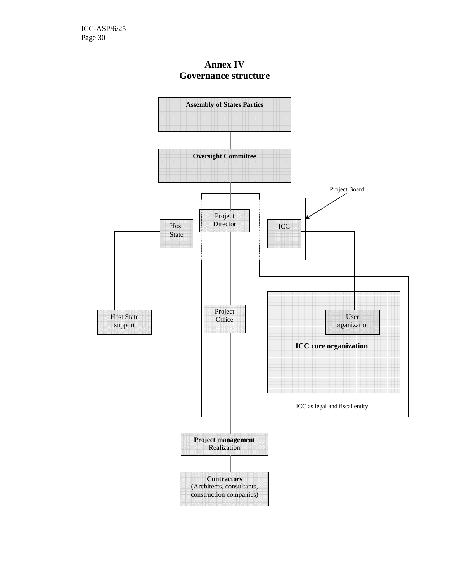# **Annex IV Governance structure**